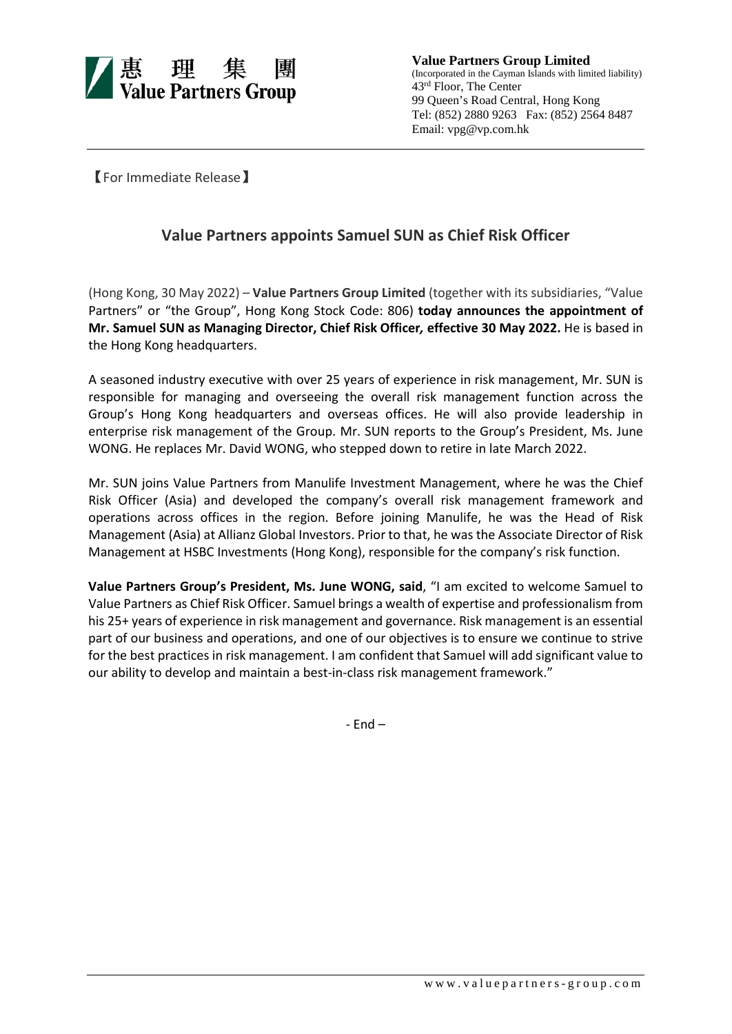

**Value Partners Group Limited** (Incorporated in the Cayman Islands with limited liability) 43rd Floor, The Center 99 Queen's Road Central, Hong Kong Tel: (852) 2880 9263 Fax: (852) 2564 8487 Email: vpg@vp.com.hk

【For Immediate Release】

## **Value Partners appoints Samuel SUN as Chief Risk Officer**

(Hong Kong, 30 May 2022) – **Value Partners Group Limited** (together with its subsidiaries, "Value Partners" or "the Group", Hong Kong Stock Code: 806) **today announces the appointment of Mr. Samuel SUN as Managing Director, Chief Risk Officer***,* **effective 30 May 2022.** He is based in the Hong Kong headquarters.

A seasoned industry executive with over 25 years of experience in risk management, Mr. SUN is responsible for managing and overseeing the overall risk management function across the Group's Hong Kong headquarters and overseas offices. He will also provide leadership in enterprise risk management of the Group. Mr. SUN reports to the Group's President, Ms. June WONG. He replaces Mr. David WONG, who stepped down to retire in late March 2022.

Mr. SUN joins Value Partners from Manulife Investment Management, where he was the Chief Risk Officer (Asia) and developed the company's overall risk management framework and operations across offices in the region. Before joining Manulife, he was the Head of Risk Management (Asia) at Allianz Global Investors. Prior to that, he was the Associate Director of Risk Management at HSBC Investments (Hong Kong), responsible for the company's risk function.

**Value Partners Group's President, Ms. June WONG, said**, "I am excited to welcome Samuel to Value Partners as Chief Risk Officer. Samuel brings a wealth of expertise and professionalism from his 25+ years of experience in risk management and governance. Risk management is an essential part of our business and operations, and one of our objectives is to ensure we continue to strive for the best practices in risk management. I am confident that Samuel will add significant value to our ability to develop and maintain a best-in-class risk management framework."

- End –